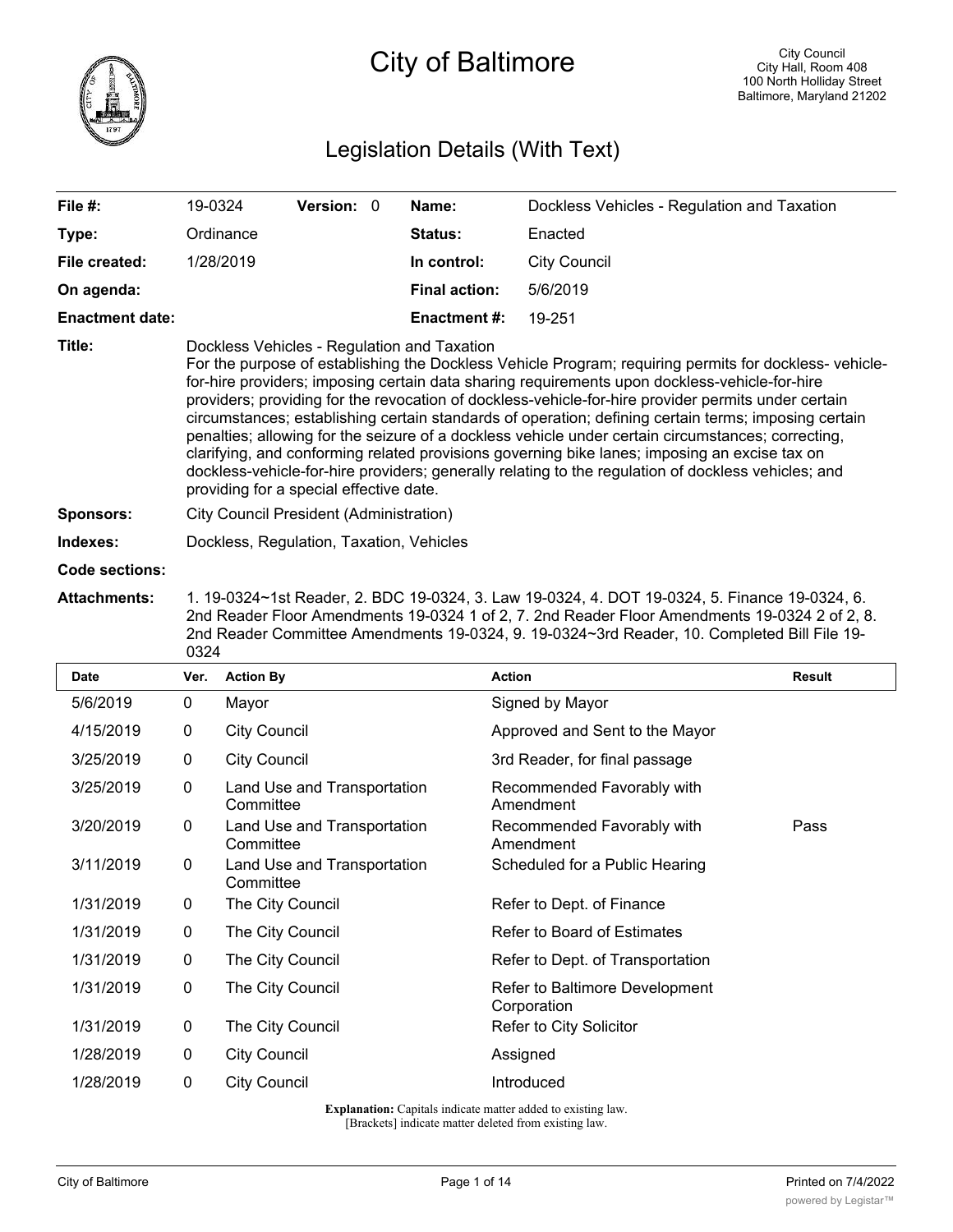

# Legislation Details (With Text)

| File $#$ :             | 19-0324                                                                                                                                                                                                                                                                                                                                                                                                                                                                                                                                                                                                                                                                                                                                                                                                                       | <b>Version: 0</b> |  | Name:                | Dockless Vehicles - Regulation and Taxation |  |  |
|------------------------|-------------------------------------------------------------------------------------------------------------------------------------------------------------------------------------------------------------------------------------------------------------------------------------------------------------------------------------------------------------------------------------------------------------------------------------------------------------------------------------------------------------------------------------------------------------------------------------------------------------------------------------------------------------------------------------------------------------------------------------------------------------------------------------------------------------------------------|-------------------|--|----------------------|---------------------------------------------|--|--|
| Type:                  | Ordinance                                                                                                                                                                                                                                                                                                                                                                                                                                                                                                                                                                                                                                                                                                                                                                                                                     |                   |  | <b>Status:</b>       | Enacted                                     |  |  |
| File created:          | 1/28/2019                                                                                                                                                                                                                                                                                                                                                                                                                                                                                                                                                                                                                                                                                                                                                                                                                     |                   |  | In control:          | <b>City Council</b>                         |  |  |
| On agenda:             |                                                                                                                                                                                                                                                                                                                                                                                                                                                                                                                                                                                                                                                                                                                                                                                                                               |                   |  | <b>Final action:</b> | 5/6/2019                                    |  |  |
| <b>Enactment date:</b> |                                                                                                                                                                                                                                                                                                                                                                                                                                                                                                                                                                                                                                                                                                                                                                                                                               |                   |  | <b>Enactment #:</b>  | 19-251                                      |  |  |
| Title:                 | Dockless Vehicles - Regulation and Taxation<br>For the purpose of establishing the Dockless Vehicle Program; requiring permits for dockless-vehicle-<br>for-hire providers; imposing certain data sharing requirements upon dockless-vehicle-for-hire<br>providers; providing for the revocation of dockless-vehicle-for-hire provider permits under certain<br>circumstances; establishing certain standards of operation; defining certain terms; imposing certain<br>penalties; allowing for the seizure of a dockless vehicle under certain circumstances; correcting,<br>clarifying, and conforming related provisions governing bike lanes; imposing an excise tax on<br>dockless-vehicle-for-hire providers; generally relating to the regulation of dockless vehicles; and<br>providing for a special effective date. |                   |  |                      |                                             |  |  |
| <b>Sponsors:</b>       | City Council President (Administration)                                                                                                                                                                                                                                                                                                                                                                                                                                                                                                                                                                                                                                                                                                                                                                                       |                   |  |                      |                                             |  |  |
| Indexes:               | Dockless, Regulation, Taxation, Vehicles                                                                                                                                                                                                                                                                                                                                                                                                                                                                                                                                                                                                                                                                                                                                                                                      |                   |  |                      |                                             |  |  |
| Ardria de la cont      |                                                                                                                                                                                                                                                                                                                                                                                                                                                                                                                                                                                                                                                                                                                                                                                                                               |                   |  |                      |                                             |  |  |

- **Code sections:**
- **Attachments:** 1. 19-0324~1st Reader, 2. BDC 19-0324, 3. Law 19-0324, 4. DOT 19-0324, 5. Finance 19-0324, 6. 2nd Reader Floor Amendments 19-0324 1 of 2, 7. 2nd Reader Floor Amendments 19-0324 2 of 2, 8. 2nd Reader Committee Amendments 19-0324, 9. 19-0324~3rd Reader, 10. Completed Bill File 19- 0324

| <b>Date</b> | Ver. | <b>Action By</b>                         | <b>Action</b>                                 | Result |
|-------------|------|------------------------------------------|-----------------------------------------------|--------|
| 5/6/2019    | 0    | Mayor                                    | Signed by Mayor                               |        |
| 4/15/2019   | 0    | <b>City Council</b>                      | Approved and Sent to the Mayor                |        |
| 3/25/2019   | 0    | <b>City Council</b>                      | 3rd Reader, for final passage                 |        |
| 3/25/2019   | 0    | Land Use and Transportation<br>Committee | Recommended Favorably with<br>Amendment       |        |
| 3/20/2019   | 0    | Land Use and Transportation<br>Committee | Recommended Favorably with<br>Amendment       | Pass   |
| 3/11/2019   | 0    | Land Use and Transportation<br>Committee | Scheduled for a Public Hearing                |        |
| 1/31/2019   | 0    | The City Council                         | Refer to Dept. of Finance                     |        |
| 1/31/2019   | 0    | The City Council                         | Refer to Board of Estimates                   |        |
| 1/31/2019   | 0    | The City Council                         | Refer to Dept. of Transportation              |        |
| 1/31/2019   | 0    | The City Council                         | Refer to Baltimore Development<br>Corporation |        |
| 1/31/2019   | 0    | The City Council                         | Refer to City Solicitor                       |        |
| 1/28/2019   | 0    | <b>City Council</b>                      | Assigned                                      |        |
| 1/28/2019   | 0    | <b>City Council</b>                      | Introduced                                    |        |

**Explanation:** Capitals indicate matter added to existing law. [Brackets] indicate matter deleted from existing law.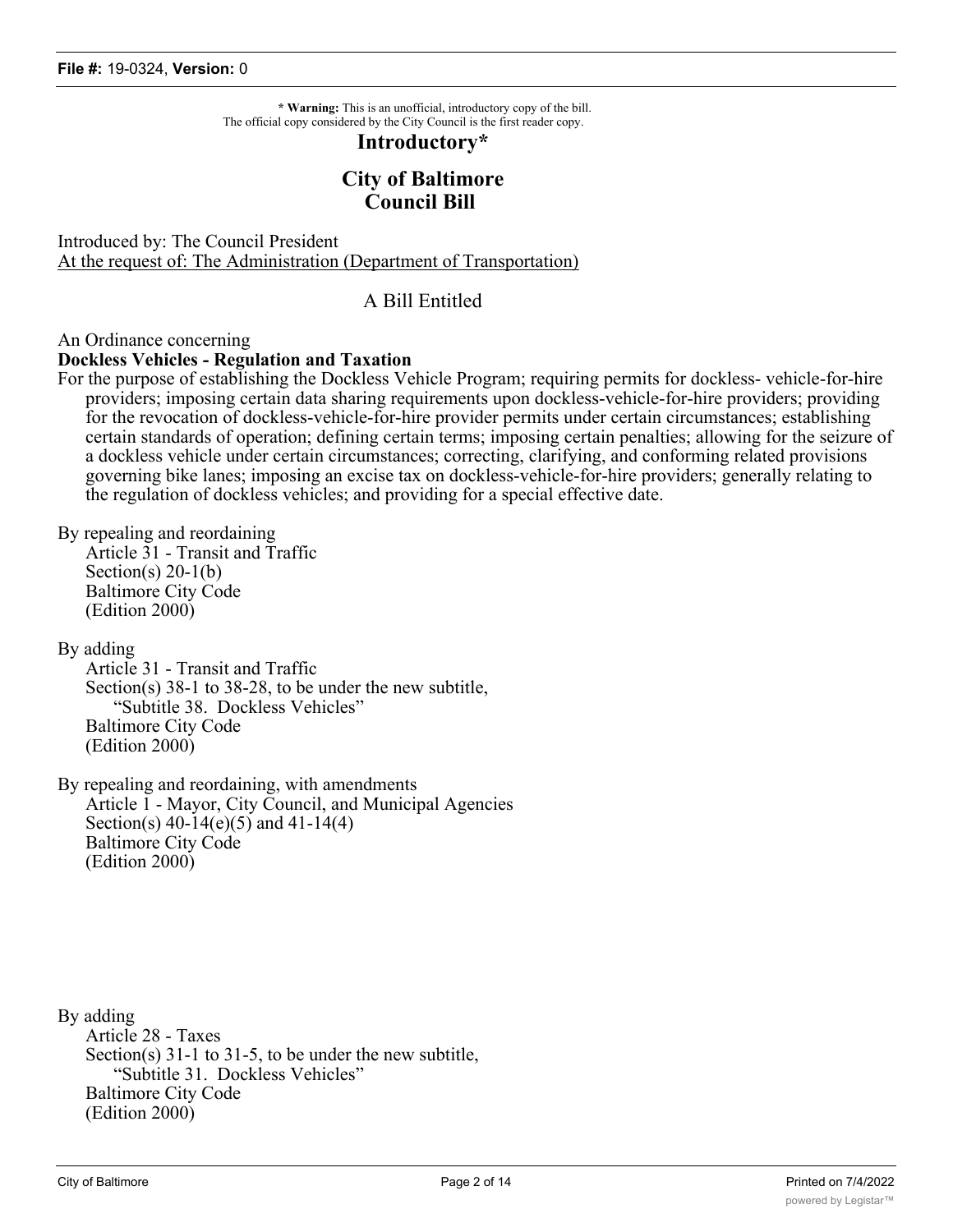**\* Warning:** This is an unofficial, introductory copy of the bill. The official copy considered by the City Council is the first reader copy.

#### **Introductory\***

# **City of Baltimore Council Bill**

Introduced by: The Council President At the request of: The Administration (Department of Transportation)

# A Bill Entitled

#### An Ordinance concerning

#### **Dockless Vehicles - Regulation and Taxation**

For the purpose of establishing the Dockless Vehicle Program; requiring permits for dockless- vehicle-for-hire providers; imposing certain data sharing requirements upon dockless-vehicle-for-hire providers; providing for the revocation of dockless-vehicle-for-hire provider permits under certain circumstances; establishing certain standards of operation; defining certain terms; imposing certain penalties; allowing for the seizure of a dockless vehicle under certain circumstances; correcting, clarifying, and conforming related provisions governing bike lanes; imposing an excise tax on dockless-vehicle-for-hire providers; generally relating to the regulation of dockless vehicles; and providing for a special effective date.

By repealing and reordaining

Article 31 - Transit and Traffic Section(s)  $20-1(b)$ Baltimore City Code (Edition 2000)

By adding

Article 31 - Transit and Traffic Section(s) 38-1 to 38-28, to be under the new subtitle, "Subtitle 38. Dockless Vehicles" Baltimore City Code (Edition 2000)

By repealing and reordaining, with amendments Article 1 - Mayor, City Council, and Municipal Agencies Section(s) 40-14(e)(5) and 41-14(4) Baltimore City Code (Edition 2000)

By adding Article 28 - Taxes Section(s) 31-1 to 31-5, to be under the new subtitle, "Subtitle 31. Dockless Vehicles" Baltimore City Code (Edition 2000)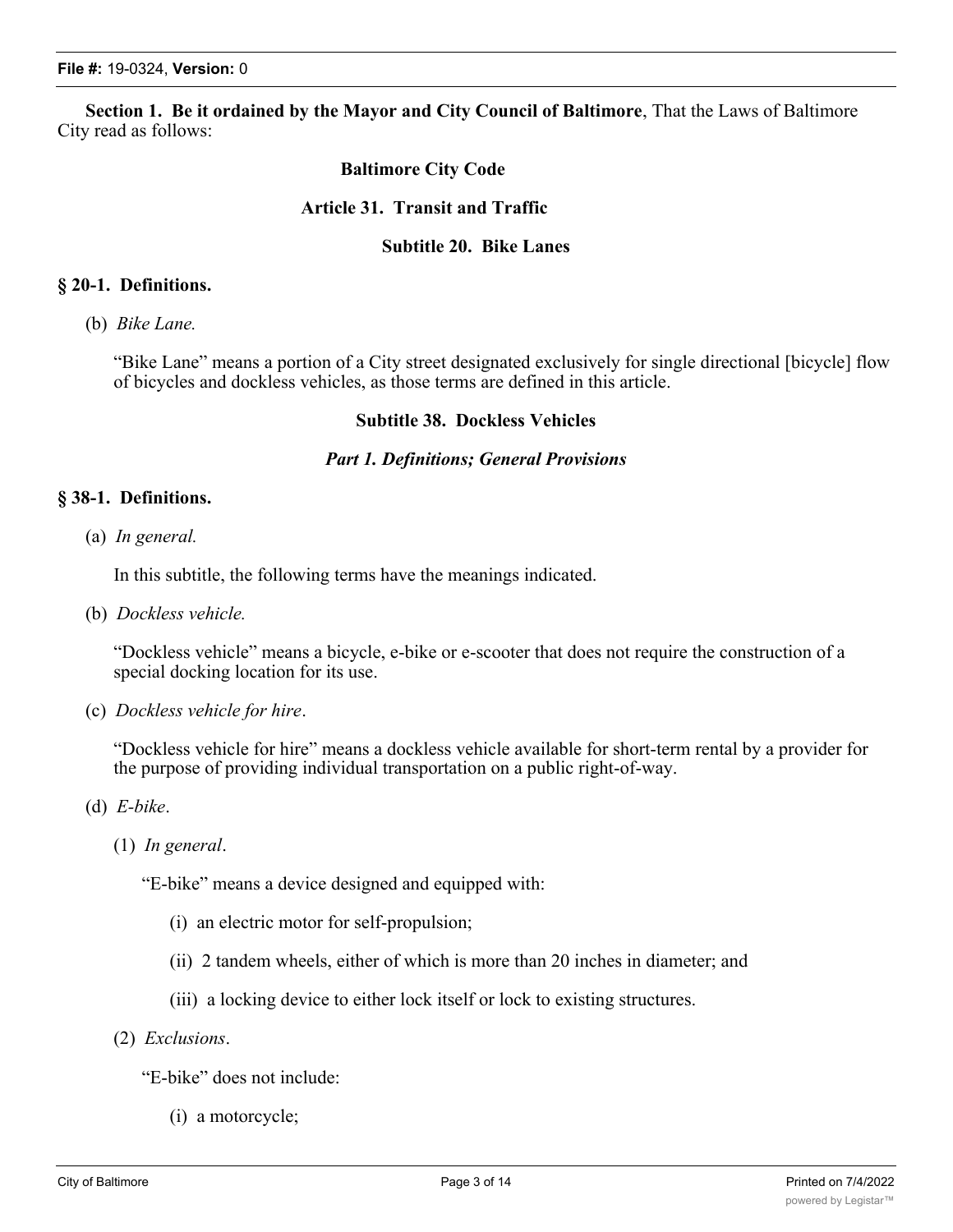**Section 1. Be it ordained by the Mayor and City Council of Baltimore**, That the Laws of Baltimore City read as follows:

# **Baltimore City Code**

# **Article 31. Transit and Traffic**

#### **Subtitle 20. Bike Lanes**

#### **§ 20-1. Definitions.**

(b) *Bike Lane.*

"Bike Lane" means a portion of a City street designated exclusively for single directional [bicycle] flow of bicycles and dockless vehicles, as those terms are defined in this article.

## **Subtitle 38. Dockless Vehicles**

#### *Part 1. Definitions; General Provisions*

## **§ 38-1. Definitions.**

(a) *In general.*

In this subtitle, the following terms have the meanings indicated.

(b) *Dockless vehicle.*

"Dockless vehicle" means a bicycle, e-bike or e-scooter that does not require the construction of a special docking location for its use.

(c) *Dockless vehicle for hire*.

"Dockless vehicle for hire" means a dockless vehicle available for short-term rental by a provider for the purpose of providing individual transportation on a public right-of-way.

- (d) *E-bike*.
	- (1) *In general*.

"E-bike" means a device designed and equipped with:

- (i) an electric motor for self-propulsion;
- (ii) 2 tandem wheels, either of which is more than 20 inches in diameter; and
- (iii) a locking device to either lock itself or lock to existing structures.
- (2) *Exclusions*.

"E-bike" does not include:

(i) a motorcycle;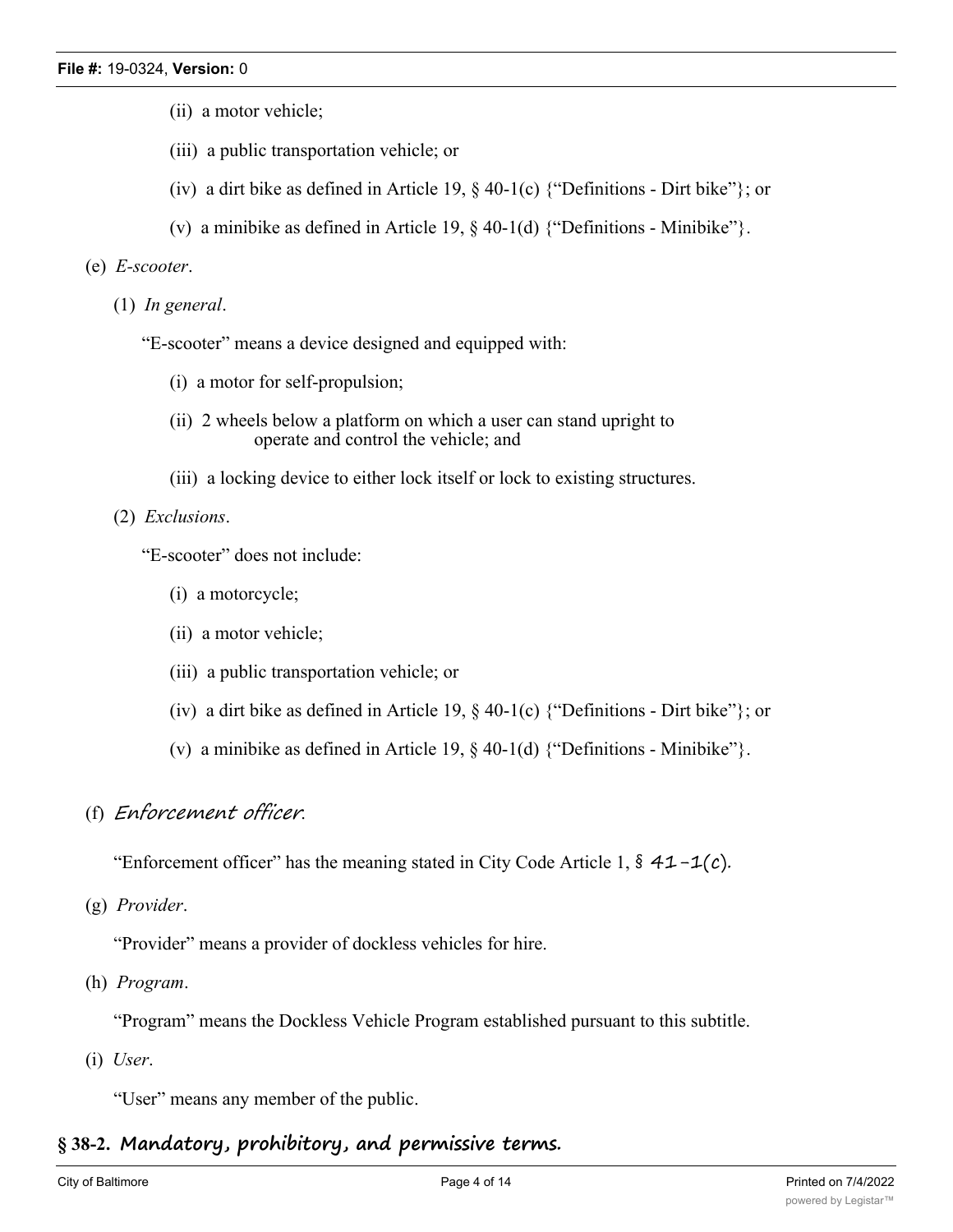- (ii) a motor vehicle;
- (iii) a public transportation vehicle; or
- (iv) a dirt bike as defined in Article 19,  $\S$  40-1(c) {"Definitions Dirt bike"}; or
- (v) a minibike as defined in Article 19,  $\S$  40-1(d) {"Definitions Minibike"}.

#### (e) *E-scooter*.

(1) *In general*.

"E-scooter" means a device designed and equipped with:

- (i) a motor for self-propulsion;
- (ii) 2 wheels below a platform on which a user can stand upright to operate and control the vehicle; and
- (iii) a locking device to either lock itself or lock to existing structures.

#### (2) *Exclusions*.

"E-scooter" does not include:

- (i) a motorcycle;
- (ii) a motor vehicle;
- (iii) a public transportation vehicle; or
- (iv) a dirt bike as defined in Article 19,  $\S$  40-1(c) {"Definitions Dirt bike"}; or
- (v) a minibike as defined in Article 19,  $\S$  40-1(d) {"Definitions Minibike"}.

# (f) *Enforcement officer*.

"Enforcement officer" has the meaning stated in City Code Article 1,  $\frac{2}{3}$  41-1(c).

(g) *Provider*.

"Provider" means a provider of dockless vehicles for hire.

(h) *Program*.

"Program" means the Dockless Vehicle Program established pursuant to this subtitle.

(i) *User*.

"User" means any member of the public.

# **§ 38-2. Mandatory, prohibitory, and permissive terms.**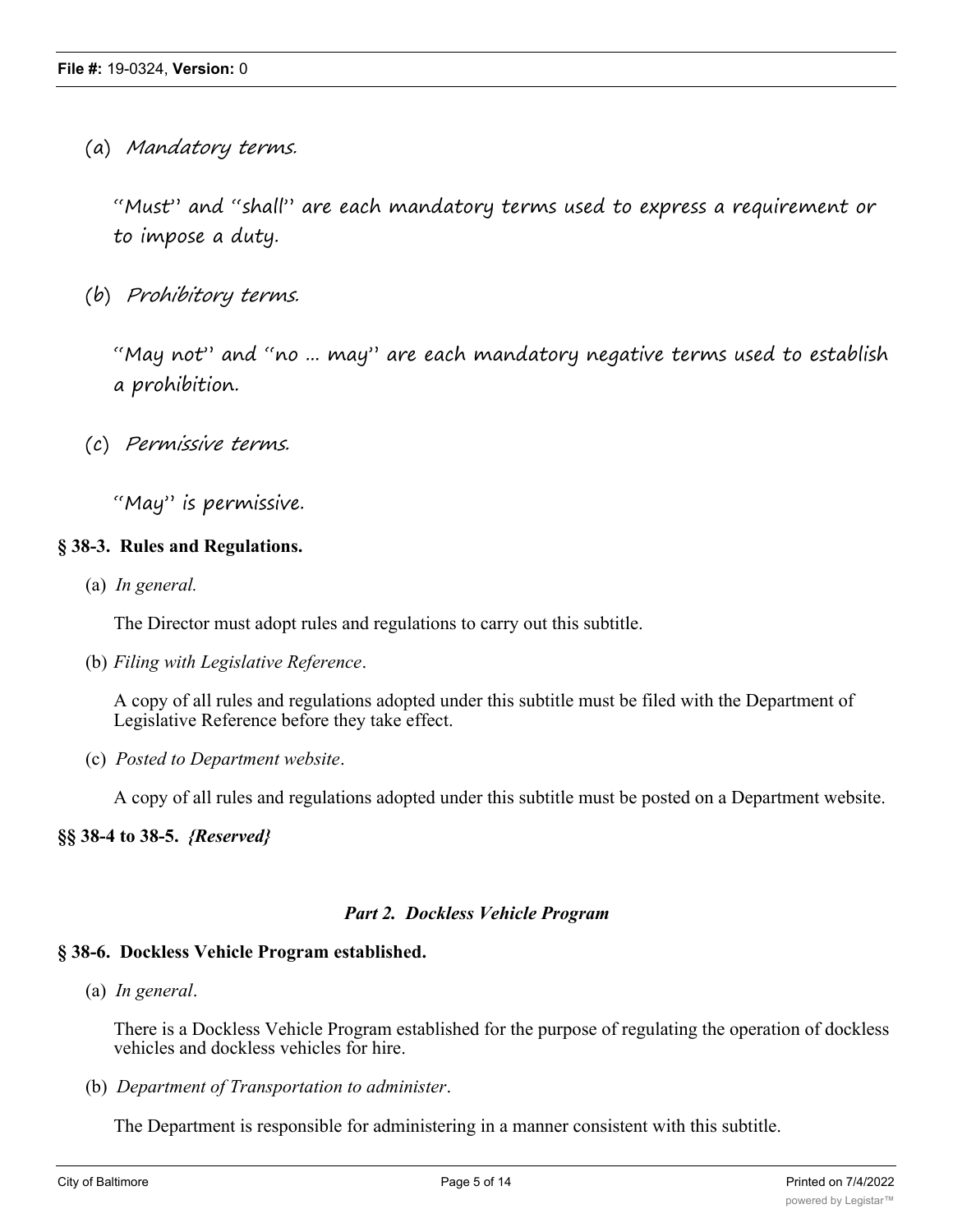(a) *Mandatory terms.*

"Must" and "shall" are each mandatory terms used to express a requirement or to impose a duty.

(b) *Prohibitory terms.*

"May not" and "no ... may" are each mandatory negative terms used to establish a prohibition.

(c) *Permissive terms.*

"May" is permissive.

# **§ 38-3. Rules and Regulations.**

(a) *In general.*

The Director must adopt rules and regulations to carry out this subtitle.

(b) *Filing with Legislative Reference*.

A copy of all rules and regulations adopted under this subtitle must be filed with the Department of Legislative Reference before they take effect.

(c) *Posted to Department website*.

A copy of all rules and regulations adopted under this subtitle must be posted on a Department website.

# **§§ 38-4 to 38-5.** *{Reserved}*

# *Part 2. Dockless Vehicle Program*

# **§ 38-6. Dockless Vehicle Program established.**

(a) *In general*.

There is a Dockless Vehicle Program established for the purpose of regulating the operation of dockless vehicles and dockless vehicles for hire.

(b) *Department of Transportation to administer*.

The Department is responsible for administering in a manner consistent with this subtitle.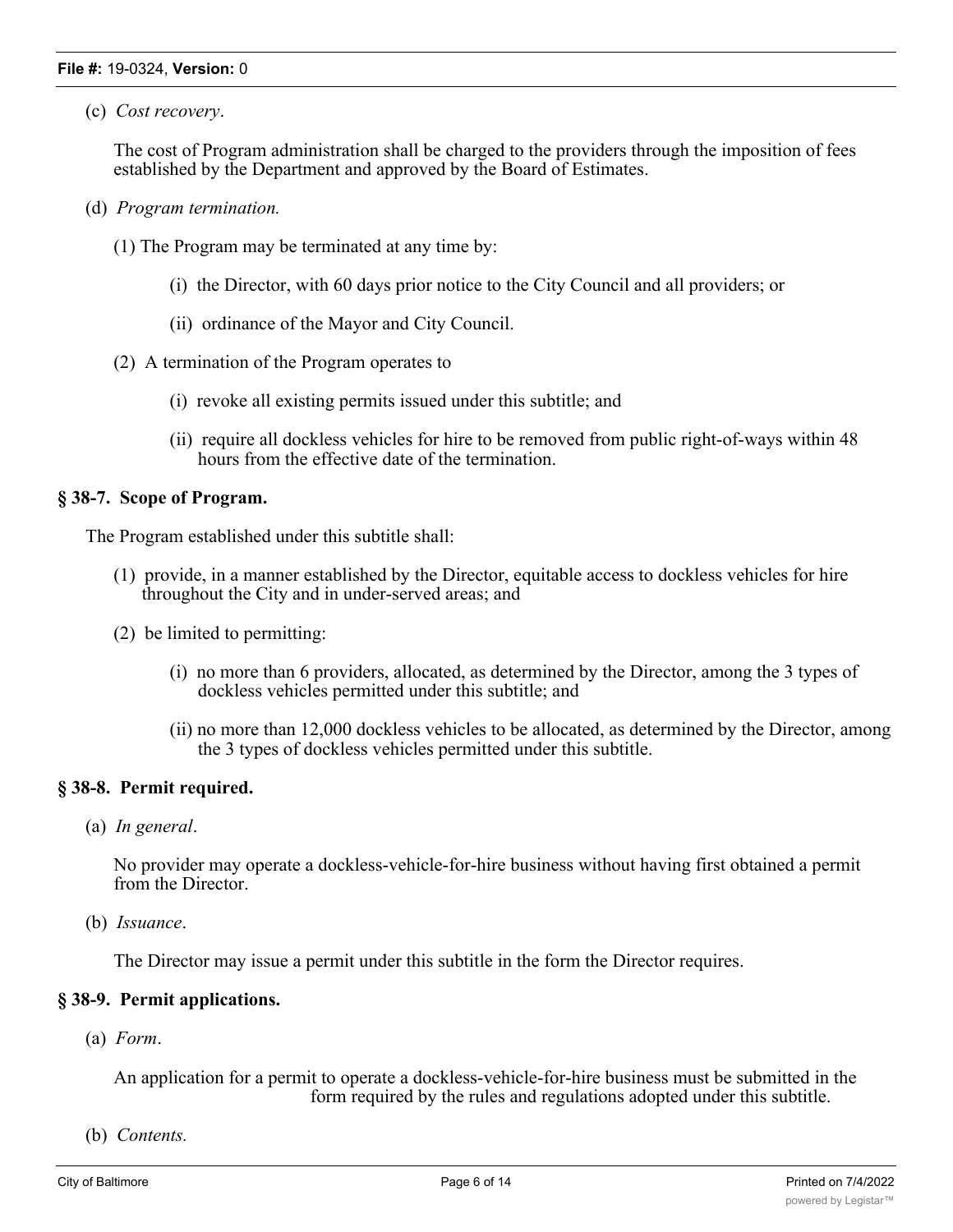#### **File #:** 19-0324, **Version:** 0

(c) *Cost recovery*.

The cost of Program administration shall be charged to the providers through the imposition of fees established by the Department and approved by the Board of Estimates.

- (d) *Program termination.*
	- (1) The Program may be terminated at any time by:
		- (i) the Director, with 60 days prior notice to the City Council and all providers; or
		- (ii) ordinance of the Mayor and City Council.
	- (2) A termination of the Program operates to
		- (i) revoke all existing permits issued under this subtitle; and
		- (ii) require all dockless vehicles for hire to be removed from public right-of-ways within 48 hours from the effective date of the termination.

#### **§ 38-7. Scope of Program.**

The Program established under this subtitle shall:

- (1) provide, in a manner established by the Director, equitable access to dockless vehicles for hire throughout the City and in under-served areas; and
- (2) be limited to permitting:
	- (i) no more than 6 providers, allocated, as determined by the Director, among the 3 types of dockless vehicles permitted under this subtitle; and
	- (ii) no more than 12,000 dockless vehicles to be allocated, as determined by the Director, among the 3 types of dockless vehicles permitted under this subtitle.

# **§ 38-8. Permit required.**

(a) *In general*.

No provider may operate a dockless-vehicle-for-hire business without having first obtained a permit from the Director.

(b) *Issuance*.

The Director may issue a permit under this subtitle in the form the Director requires.

# **§ 38-9. Permit applications.**

(a) *Form*.

An application for a permit to operate a dockless-vehicle-for-hire business must be submitted in the form required by the rules and regulations adopted under this subtitle.

(b) *Contents.*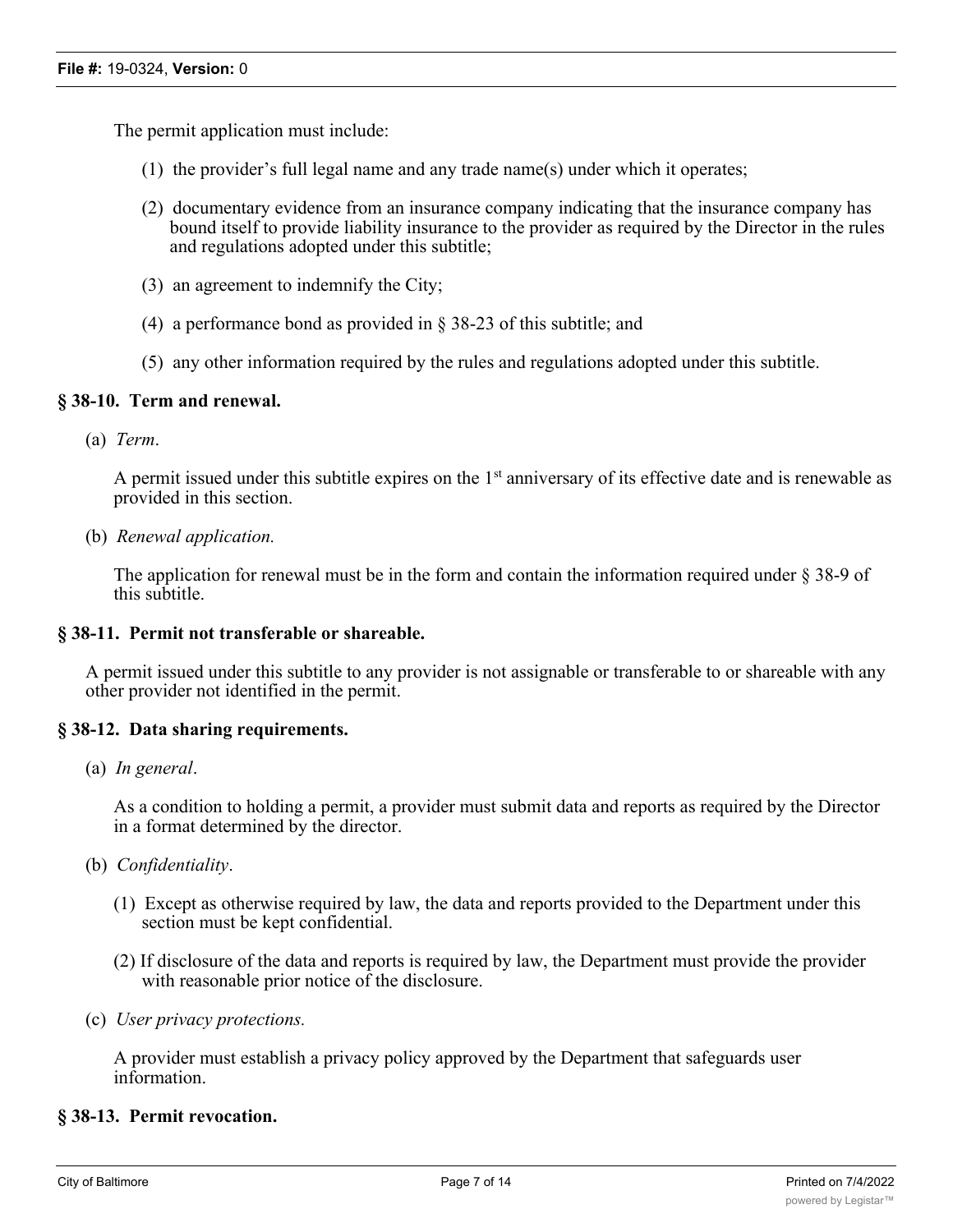The permit application must include:

- (1) the provider's full legal name and any trade name(s) under which it operates;
- (2) documentary evidence from an insurance company indicating that the insurance company has bound itself to provide liability insurance to the provider as required by the Director in the rules and regulations adopted under this subtitle;
- (3) an agreement to indemnify the City;
- (4) a performance bond as provided in § 38-23 of this subtitle; and
- (5) any other information required by the rules and regulations adopted under this subtitle.

# **§ 38-10. Term and renewal.**

(a) *Term*.

A permit issued under this subtitle expires on the  $1<sup>st</sup>$  anniversary of its effective date and is renewable as provided in this section.

(b) *Renewal application.*

The application for renewal must be in the form and contain the information required under § 38-9 of this subtitle.

#### **§ 38-11. Permit not transferable or shareable.**

A permit issued under this subtitle to any provider is not assignable or transferable to or shareable with any other provider not identified in the permit.

# **§ 38-12. Data sharing requirements.**

(a) *In general*.

As a condition to holding a permit, a provider must submit data and reports as required by the Director in a format determined by the director.

- (b) *Confidentiality*.
	- (1) Except as otherwise required by law, the data and reports provided to the Department under this section must be kept confidential.
	- (2) If disclosure of the data and reports is required by law, the Department must provide the provider with reasonable prior notice of the disclosure.
- (c) *User privacy protections.*

A provider must establish a privacy policy approved by the Department that safeguards user information.

#### **§ 38-13. Permit revocation.**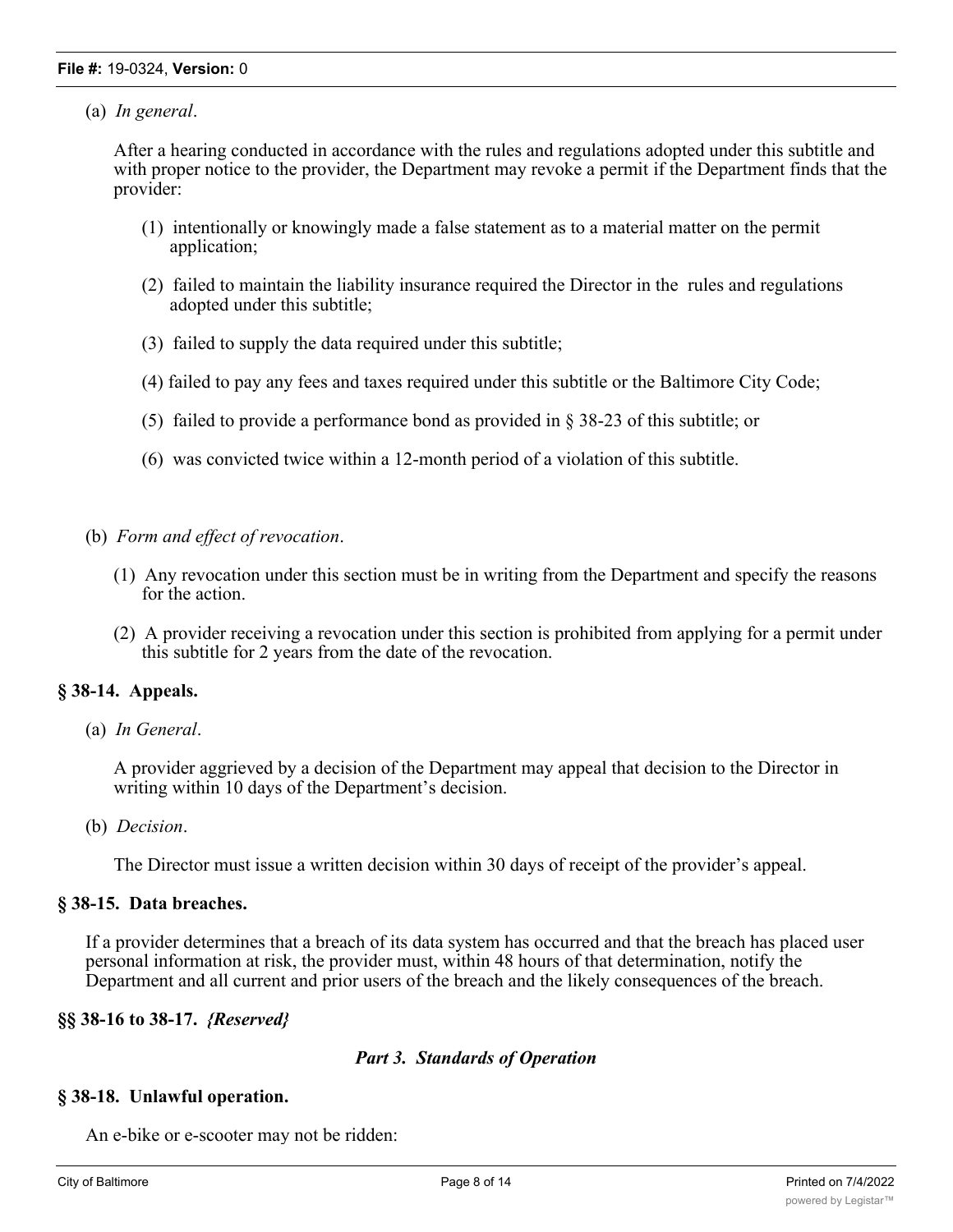# (a) *In general*.

After a hearing conducted in accordance with the rules and regulations adopted under this subtitle and with proper notice to the provider, the Department may revoke a permit if the Department finds that the provider:

- (1) intentionally or knowingly made a false statement as to a material matter on the permit application;
- (2) failed to maintain the liability insurance required the Director in the rules and regulations adopted under this subtitle;
- (3) failed to supply the data required under this subtitle;
- (4) failed to pay any fees and taxes required under this subtitle or the Baltimore City Code;
- (5) failed to provide a performance bond as provided in § 38-23 of this subtitle; or
- (6) was convicted twice within a 12-month period of a violation of this subtitle.
- (b) *Form and effect of revocation*.
	- (1) Any revocation under this section must be in writing from the Department and specify the reasons for the action.
	- (2) A provider receiving a revocation under this section is prohibited from applying for a permit under this subtitle for 2 years from the date of the revocation.

# **§ 38-14. Appeals.**

(a) *In General*.

A provider aggrieved by a decision of the Department may appeal that decision to the Director in writing within 10 days of the Department's decision.

(b) *Decision*.

The Director must issue a written decision within 30 days of receipt of the provider's appeal.

# **§ 38-15. Data breaches.**

If a provider determines that a breach of its data system has occurred and that the breach has placed user personal information at risk, the provider must, within 48 hours of that determination, notify the Department and all current and prior users of the breach and the likely consequences of the breach.

# **§§ 38-16 to 38-17.** *{Reserved}*

# *Part 3. Standards of Operation*

# **§ 38-18. Unlawful operation.**

An e-bike or e-scooter may not be ridden: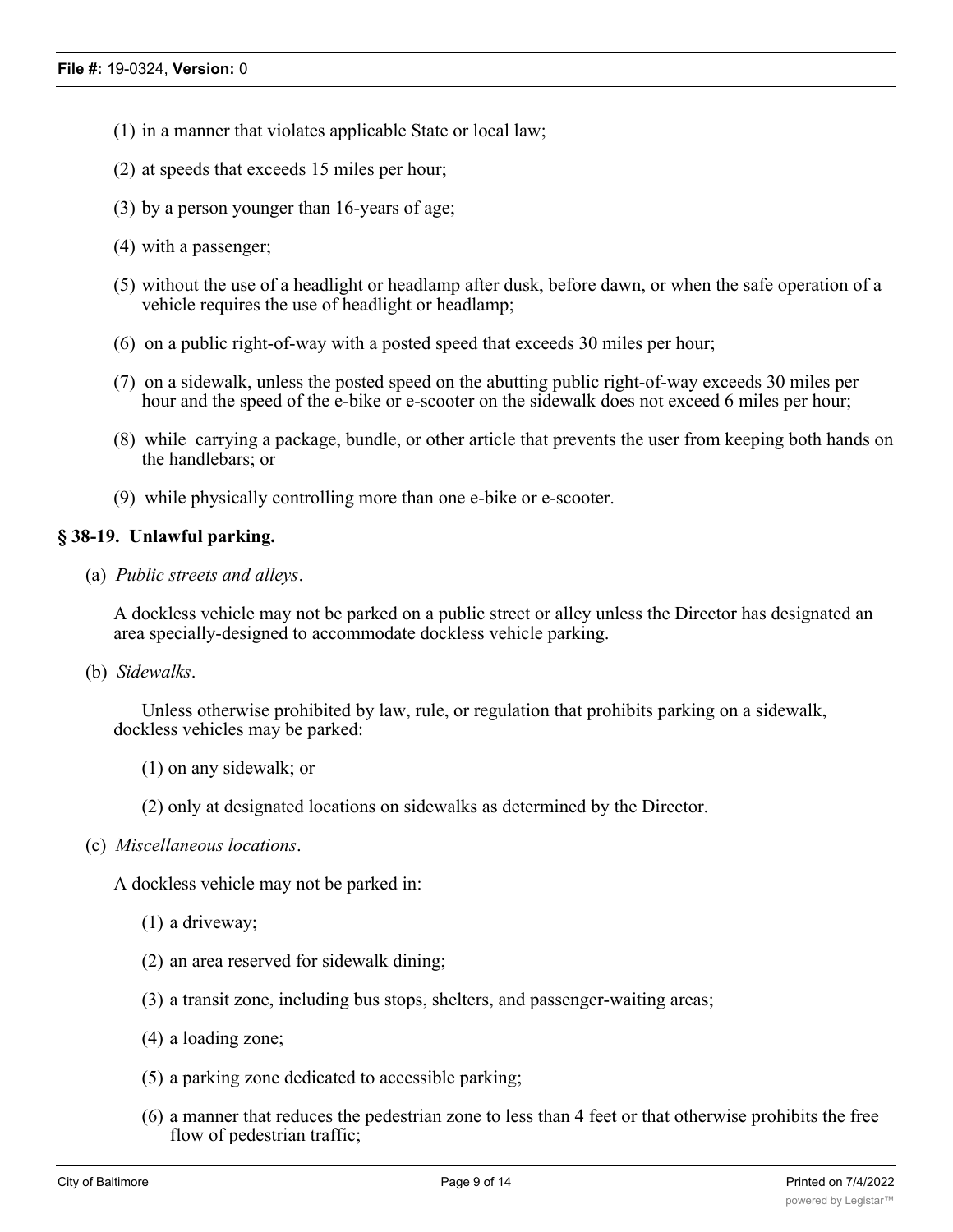- (1) in a manner that violates applicable State or local law;
- (2) at speeds that exceeds 15 miles per hour;
- (3) by a person younger than 16-years of age;
- (4) with a passenger;
- (5) without the use of a headlight or headlamp after dusk, before dawn, or when the safe operation of a vehicle requires the use of headlight or headlamp;
- (6) on a public right-of-way with a posted speed that exceeds 30 miles per hour;
- (7) on a sidewalk, unless the posted speed on the abutting public right-of-way exceeds 30 miles per hour and the speed of the e-bike or e-scooter on the sidewalk does not exceed 6 miles per hour;
- (8) while carrying a package, bundle, or other article that prevents the user from keeping both hands on the handlebars; or
- (9) while physically controlling more than one e-bike or e-scooter.

# **§ 38-19. Unlawful parking.**

(a) *Public streets and alleys*.

A dockless vehicle may not be parked on a public street or alley unless the Director has designated an area specially-designed to accommodate dockless vehicle parking.

(b) *Sidewalks*.

Unless otherwise prohibited by law, rule, or regulation that prohibits parking on a sidewalk, dockless vehicles may be parked:

- (1) on any sidewalk; or
- (2) only at designated locations on sidewalks as determined by the Director.
- (c) *Miscellaneous locations*.

A dockless vehicle may not be parked in:

- (1) a driveway;
- (2) an area reserved for sidewalk dining;
- (3) a transit zone, including bus stops, shelters, and passenger-waiting areas;
- (4) a loading zone;
- (5) a parking zone dedicated to accessible parking;
- (6) a manner that reduces the pedestrian zone to less than 4 feet or that otherwise prohibits the free flow of pedestrian traffic;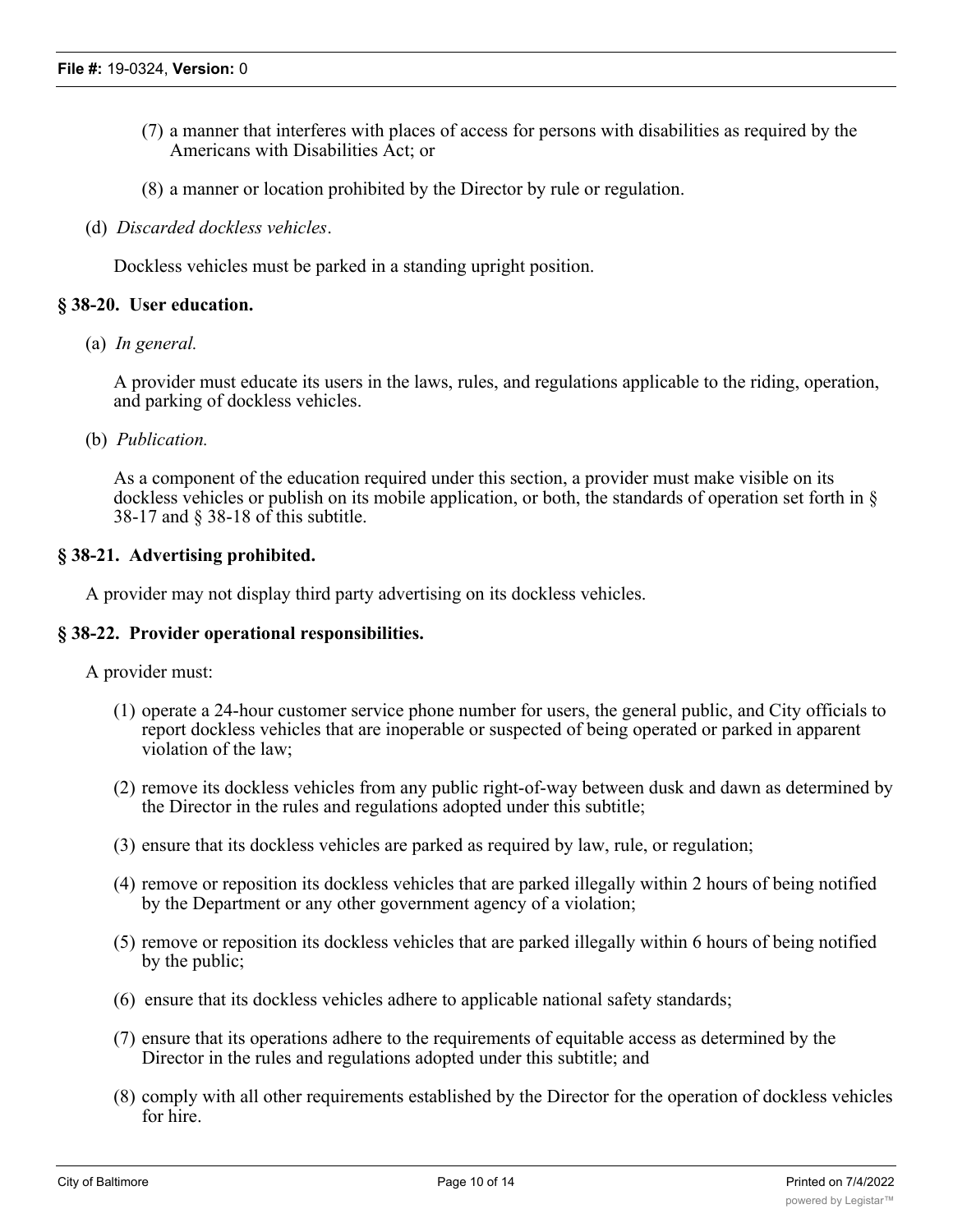- (7) a manner that interferes with places of access for persons with disabilities as required by the Americans with Disabilities Act; or
- (8) a manner or location prohibited by the Director by rule or regulation.
- (d) *Discarded dockless vehicles*.

Dockless vehicles must be parked in a standing upright position.

# **§ 38-20. User education.**

(a) *In general.*

A provider must educate its users in the laws, rules, and regulations applicable to the riding, operation, and parking of dockless vehicles.

(b) *Publication.*

As a component of the education required under this section, a provider must make visible on its dockless vehicles or publish on its mobile application, or both, the standards of operation set forth in § 38-17 and § 38-18 of this subtitle.

#### **§ 38-21. Advertising prohibited.**

A provider may not display third party advertising on its dockless vehicles.

#### **§ 38-22. Provider operational responsibilities.**

A provider must:

- (1) operate a 24-hour customer service phone number for users, the general public, and City officials to report dockless vehicles that are inoperable or suspected of being operated or parked in apparent violation of the law;
- (2) remove its dockless vehicles from any public right-of-way between dusk and dawn as determined by the Director in the rules and regulations adopted under this subtitle;
- (3) ensure that its dockless vehicles are parked as required by law, rule, or regulation;
- (4) remove or reposition its dockless vehicles that are parked illegally within 2 hours of being notified by the Department or any other government agency of a violation;
- (5) remove or reposition its dockless vehicles that are parked illegally within 6 hours of being notified by the public;
- (6) ensure that its dockless vehicles adhere to applicable national safety standards;
- (7) ensure that its operations adhere to the requirements of equitable access as determined by the Director in the rules and regulations adopted under this subtitle; and
- (8) comply with all other requirements established by the Director for the operation of dockless vehicles for hire.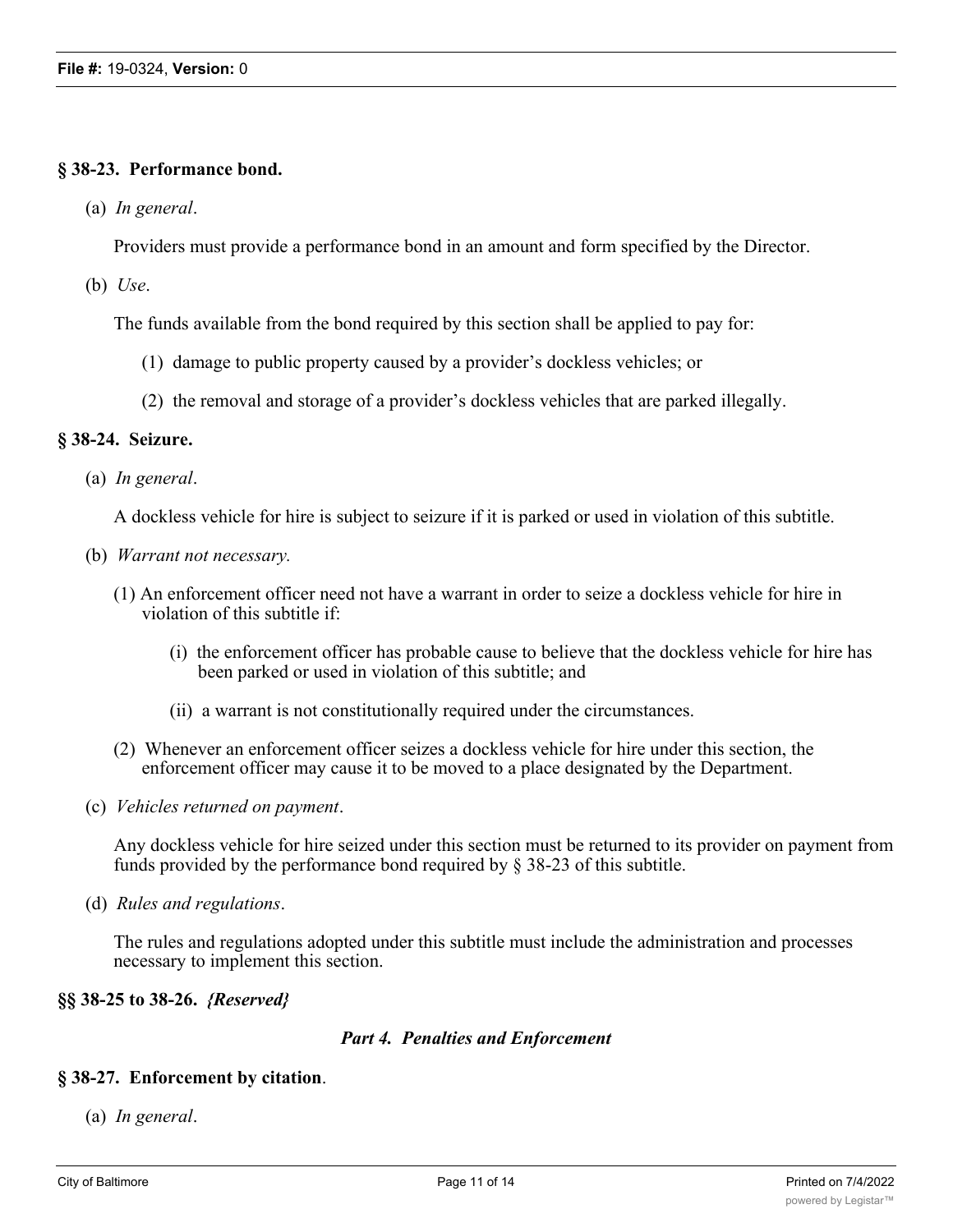#### **§ 38-23. Performance bond.**

(a) *In general*.

Providers must provide a performance bond in an amount and form specified by the Director.

(b) *Use*.

The funds available from the bond required by this section shall be applied to pay for:

- (1) damage to public property caused by a provider's dockless vehicles; or
- (2) the removal and storage of a provider's dockless vehicles that are parked illegally.

#### **§ 38-24. Seizure.**

(a) *In general*.

A dockless vehicle for hire is subject to seizure if it is parked or used in violation of this subtitle.

- (b) *Warrant not necessary.*
	- (1) An enforcement officer need not have a warrant in order to seize a dockless vehicle for hire in violation of this subtitle if:
		- (i) the enforcement officer has probable cause to believe that the dockless vehicle for hire has been parked or used in violation of this subtitle; and
		- (ii) a warrant is not constitutionally required under the circumstances.
	- (2) Whenever an enforcement officer seizes a dockless vehicle for hire under this section, the enforcement officer may cause it to be moved to a place designated by the Department.
- (c) *Vehicles returned on payment*.

Any dockless vehicle for hire seized under this section must be returned to its provider on payment from funds provided by the performance bond required by § 38-23 of this subtitle.

(d) *Rules and regulations*.

The rules and regulations adopted under this subtitle must include the administration and processes necessary to implement this section.

#### **§§ 38-25 to 38-26.** *{Reserved}*

#### *Part 4. Penalties and Enforcement*

#### **§ 38-27. Enforcement by citation**.

(a) *In general*.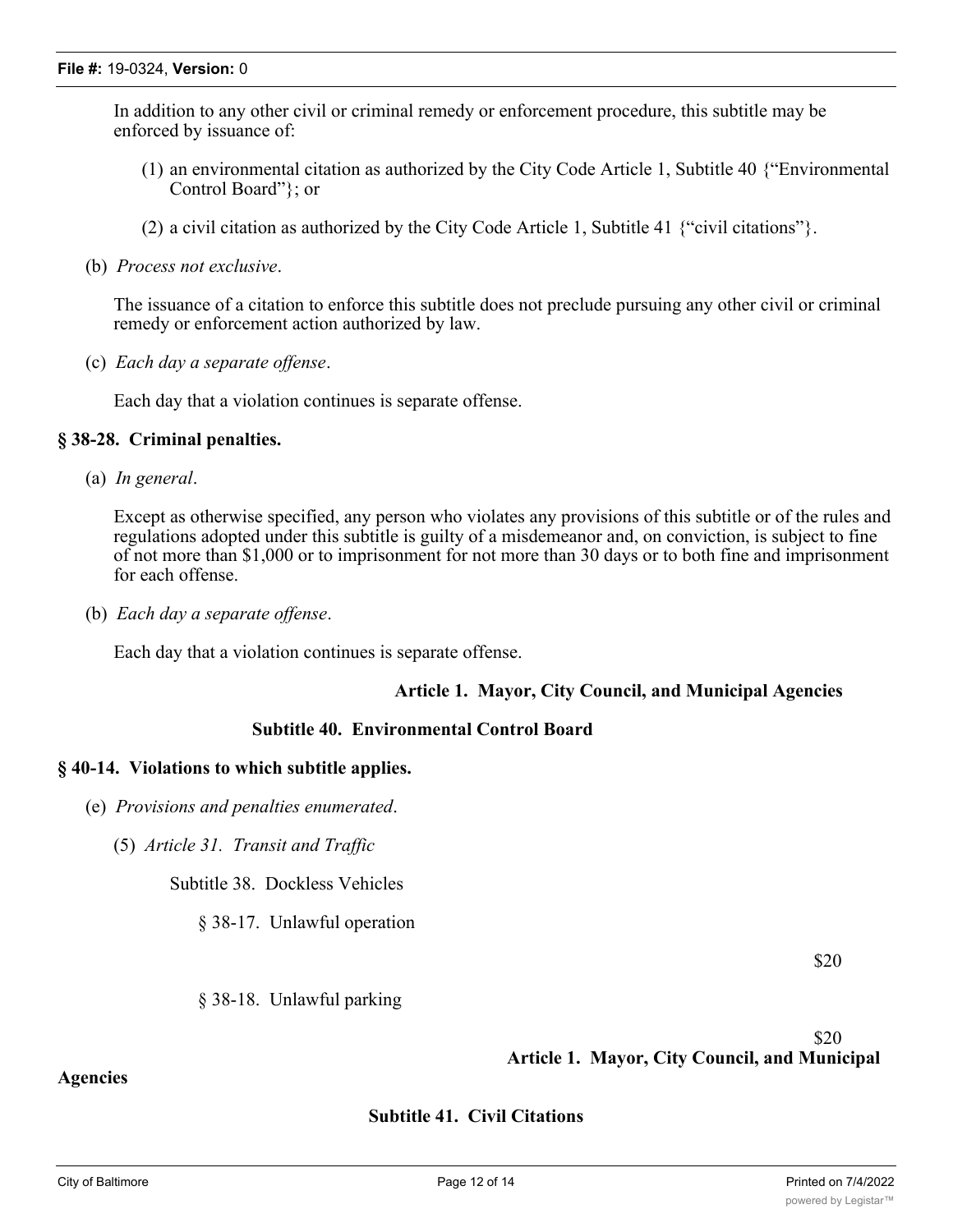In addition to any other civil or criminal remedy or enforcement procedure, this subtitle may be enforced by issuance of:

- (1) an environmental citation as authorized by the City Code Article 1, Subtitle 40 {"Environmental Control Board"}; or
- (2) a civil citation as authorized by the City Code Article 1, Subtitle 41 {"civil citations"}.
- (b) *Process not exclusive*.

The issuance of a citation to enforce this subtitle does not preclude pursuing any other civil or criminal remedy or enforcement action authorized by law.

(c) *Each day a separate offense*.

Each day that a violation continues is separate offense.

#### **§ 38-28. Criminal penalties.**

(a) *In general*.

Except as otherwise specified, any person who violates any provisions of this subtitle or of the rules and regulations adopted under this subtitle is guilty of a misdemeanor and, on conviction, is subject to fine of not more than \$1,000 or to imprisonment for not more than 30 days or to both fine and imprisonment for each offense.

(b) *Each day a separate offense*.

Each day that a violation continues is separate offense.

#### **Article 1. Mayor, City Council, and Municipal Agencies**

#### **Subtitle 40. Environmental Control Board**

#### **§ 40-14. Violations to which subtitle applies.**

- (e) *Provisions and penalties enumerated*.
	- (5) *Article 31. Transit and Traffic*

Subtitle 38. Dockless Vehicles

§ 38-17. Unlawful operation

\$20

#### § 38-18. Unlawful parking

 \$20 **Article 1. Mayor, City Council, and Municipal**

# **Subtitle 41. Civil Citations**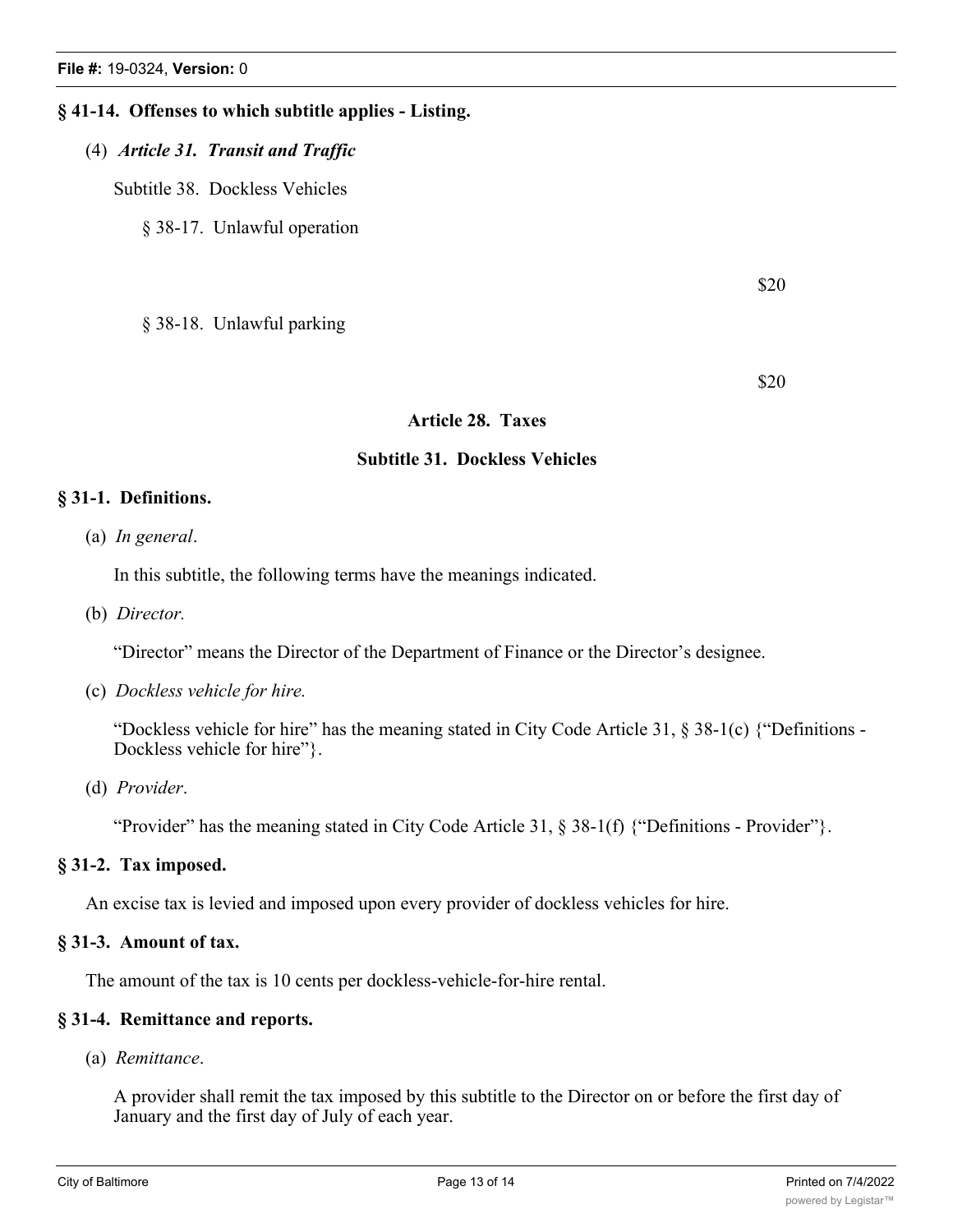# **§ 41-14. Offenses to which subtitle applies - Listing.**

# (4) *Article 31. Transit and Traffic*

Subtitle 38. Dockless Vehicles

§ 38-17. Unlawful operation

\$20

§ 38-18. Unlawful parking

\$20

# **Article 28. Taxes**

#### **Subtitle 31. Dockless Vehicles**

# **§ 31-1. Definitions.**

(a) *In general*.

In this subtitle, the following terms have the meanings indicated.

(b) *Director.*

"Director" means the Director of the Department of Finance or the Director's designee.

(c) *Dockless vehicle for hire.*

"Dockless vehicle for hire" has the meaning stated in City Code Article 31, § 38-1(c) {"Definitions - Dockless vehicle for hire".

(d) *Provider*.

"Provider" has the meaning stated in City Code Article 31,  $\S$  38-1(f) {"Definitions - Provider" }.

# **§ 31-2. Tax imposed.**

An excise tax is levied and imposed upon every provider of dockless vehicles for hire.

#### **§ 31-3. Amount of tax.**

The amount of the tax is 10 cents per dockless-vehicle-for-hire rental.

# **§ 31-4. Remittance and reports.**

(a) *Remittance*.

A provider shall remit the tax imposed by this subtitle to the Director on or before the first day of January and the first day of July of each year.